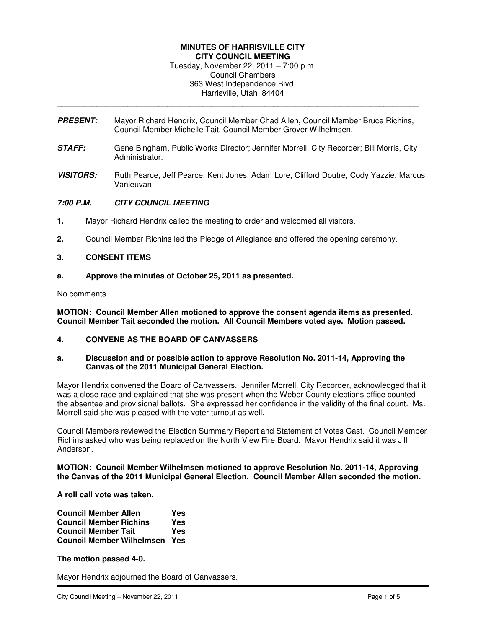#### **MINUTES OF HARRISVILLE CITY CITY COUNCIL MEETING**

Tuesday, November 22, 2011 – 7:00 p.m. Council Chambers 363 West Independence Blvd. Harrisville, Utah 84404

**PRESENT:** Mayor Richard Hendrix, Council Member Chad Allen, Council Member Bruce Richins, Council Member Michelle Tait, Council Member Grover Wilhelmsen.

\_\_\_\_\_\_\_\_\_\_\_\_\_\_\_\_\_\_\_\_\_\_\_\_\_\_\_\_\_\_\_\_\_\_\_\_\_\_\_\_\_\_\_\_\_\_\_\_\_\_\_\_\_\_\_\_\_\_\_\_\_\_\_\_\_\_\_\_\_\_\_\_\_\_\_\_\_\_\_\_\_\_

- **STAFF:** Gene Bingham, Public Works Director; Jennifer Morrell, City Recorder; Bill Morris, City Administrator.
- **VISITORS:** Ruth Pearce, Jeff Pearce, Kent Jones, Adam Lore, Clifford Doutre, Cody Yazzie, Marcus Vanleuvan

# **7:00 P.M. CITY COUNCIL MEETING**

- **1.** Mayor Richard Hendrix called the meeting to order and welcomed all visitors.
- **2.** Council Member Richins led the Pledge of Allegiance and offered the opening ceremony.

# **3. CONSENT ITEMS**

**a. Approve the minutes of October 25, 2011 as presented.** 

No comments.

**MOTION: Council Member Allen motioned to approve the consent agenda items as presented. Council Member Tait seconded the motion. All Council Members voted aye. Motion passed.** 

**4. CONVENE AS THE BOARD OF CANVASSERS** 

### **a. Discussion and or possible action to approve Resolution No. 2011-14, Approving the Canvas of the 2011 Municipal General Election.**

Mayor Hendrix convened the Board of Canvassers. Jennifer Morrell, City Recorder, acknowledged that it was a close race and explained that she was present when the Weber County elections office counted the absentee and provisional ballots. She expressed her confidence in the validity of the final count. Ms. Morrell said she was pleased with the voter turnout as well.

Council Members reviewed the Election Summary Report and Statement of Votes Cast. Council Member Richins asked who was being replaced on the North View Fire Board. Mayor Hendrix said it was Jill Anderson.

**MOTION: Council Member Wilhelmsen motioned to approve Resolution No. 2011-14, Approving the Canvas of the 2011 Municipal General Election. Council Member Allen seconded the motion.** 

**A roll call vote was taken.** 

| <b>Council Member Allen</b>      | Yes |
|----------------------------------|-----|
| <b>Council Member Richins</b>    | Yes |
| <b>Council Member Tait</b>       | Yes |
| <b>Council Member Wilhelmsen</b> | Yes |

**The motion passed 4-0.** 

Mayor Hendrix adjourned the Board of Canvassers.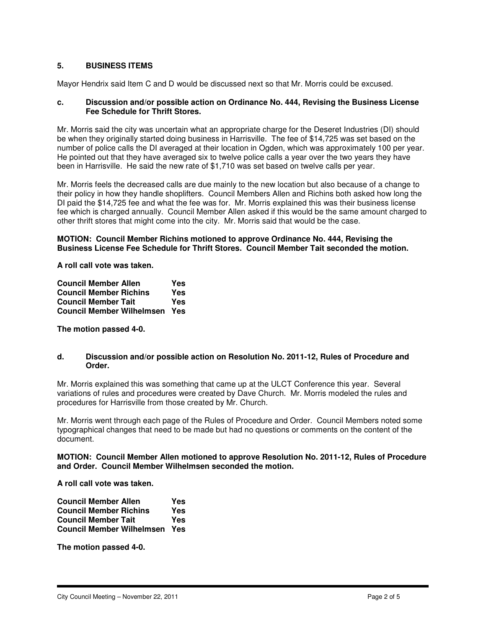# **5. BUSINESS ITEMS**

Mayor Hendrix said Item C and D would be discussed next so that Mr. Morris could be excused.

# **c. Discussion and/or possible action on Ordinance No. 444, Revising the Business License Fee Schedule for Thrift Stores.**

Mr. Morris said the city was uncertain what an appropriate charge for the Deseret Industries (DI) should be when they originally started doing business in Harrisville. The fee of \$14,725 was set based on the number of police calls the DI averaged at their location in Ogden, which was approximately 100 per year. He pointed out that they have averaged six to twelve police calls a year over the two years they have been in Harrisville. He said the new rate of \$1,710 was set based on twelve calls per year.

Mr. Morris feels the decreased calls are due mainly to the new location but also because of a change to their policy in how they handle shoplifters. Council Members Allen and Richins both asked how long the DI paid the \$14,725 fee and what the fee was for. Mr. Morris explained this was their business license fee which is charged annually. Council Member Allen asked if this would be the same amount charged to other thrift stores that might come into the city. Mr. Morris said that would be the case.

# **MOTION: Council Member Richins motioned to approve Ordinance No. 444, Revising the Business License Fee Schedule for Thrift Stores. Council Member Tait seconded the motion.**

**A roll call vote was taken.** 

| <b>Council Member Allen</b>      | Yes |
|----------------------------------|-----|
| <b>Council Member Richins</b>    | Yes |
| <b>Council Member Tait</b>       | Yes |
| <b>Council Member Wilhelmsen</b> | Yes |

**The motion passed 4-0.** 

### **d. Discussion and/or possible action on Resolution No. 2011-12, Rules of Procedure and Order.**

Mr. Morris explained this was something that came up at the ULCT Conference this year. Several variations of rules and procedures were created by Dave Church. Mr. Morris modeled the rules and procedures for Harrisville from those created by Mr. Church.

Mr. Morris went through each page of the Rules of Procedure and Order. Council Members noted some typographical changes that need to be made but had no questions or comments on the content of the document.

### **MOTION: Council Member Allen motioned to approve Resolution No. 2011-12, Rules of Procedure and Order. Council Member Wilhelmsen seconded the motion.**

**A roll call vote was taken.** 

| <b>Council Member Allen</b>      | Yes |
|----------------------------------|-----|
| <b>Council Member Richins</b>    | Yes |
| <b>Council Member Tait</b>       | Yes |
| <b>Council Member Wilhelmsen</b> | Yes |

**The motion passed 4-0.**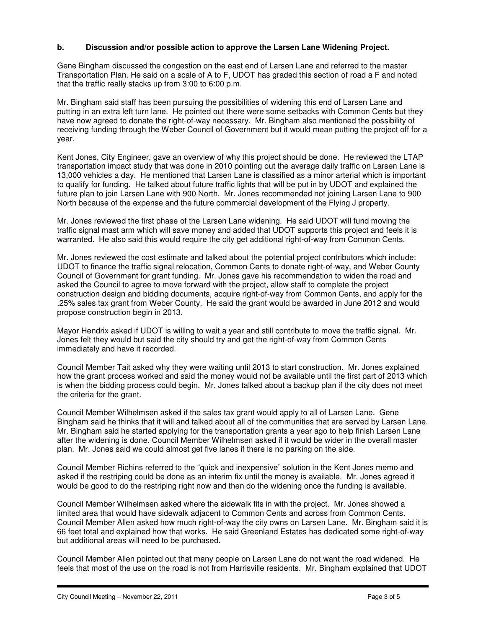# **b. Discussion and/or possible action to approve the Larsen Lane Widening Project.**

Gene Bingham discussed the congestion on the east end of Larsen Lane and referred to the master Transportation Plan. He said on a scale of A to F, UDOT has graded this section of road a F and noted that the traffic really stacks up from 3:00 to 6:00 p.m.

Mr. Bingham said staff has been pursuing the possibilities of widening this end of Larsen Lane and putting in an extra left turn lane. He pointed out there were some setbacks with Common Cents but they have now agreed to donate the right-of-way necessary. Mr. Bingham also mentioned the possibility of receiving funding through the Weber Council of Government but it would mean putting the project off for a year.

Kent Jones, City Engineer, gave an overview of why this project should be done. He reviewed the LTAP transportation impact study that was done in 2010 pointing out the average daily traffic on Larsen Lane is 13,000 vehicles a day. He mentioned that Larsen Lane is classified as a minor arterial which is important to qualify for funding. He talked about future traffic lights that will be put in by UDOT and explained the future plan to join Larsen Lane with 900 North. Mr. Jones recommended not joining Larsen Lane to 900 North because of the expense and the future commercial development of the Flying J property.

Mr. Jones reviewed the first phase of the Larsen Lane widening. He said UDOT will fund moving the traffic signal mast arm which will save money and added that UDOT supports this project and feels it is warranted. He also said this would require the city get additional right-of-way from Common Cents.

Mr. Jones reviewed the cost estimate and talked about the potential project contributors which include: UDOT to finance the traffic signal relocation, Common Cents to donate right-of-way, and Weber County Council of Government for grant funding. Mr. Jones gave his recommendation to widen the road and asked the Council to agree to move forward with the project, allow staff to complete the project construction design and bidding documents, acquire right-of-way from Common Cents, and apply for the .25% sales tax grant from Weber County. He said the grant would be awarded in June 2012 and would propose construction begin in 2013.

Mayor Hendrix asked if UDOT is willing to wait a year and still contribute to move the traffic signal. Mr. Jones felt they would but said the city should try and get the right-of-way from Common Cents immediately and have it recorded.

Council Member Tait asked why they were waiting until 2013 to start construction. Mr. Jones explained how the grant process worked and said the money would not be available until the first part of 2013 which is when the bidding process could begin. Mr. Jones talked about a backup plan if the city does not meet the criteria for the grant.

Council Member Wilhelmsen asked if the sales tax grant would apply to all of Larsen Lane. Gene Bingham said he thinks that it will and talked about all of the communities that are served by Larsen Lane. Mr. Bingham said he started applying for the transportation grants a year ago to help finish Larsen Lane after the widening is done. Council Member Wilhelmsen asked if it would be wider in the overall master plan. Mr. Jones said we could almost get five lanes if there is no parking on the side.

Council Member Richins referred to the "quick and inexpensive" solution in the Kent Jones memo and asked if the restriping could be done as an interim fix until the money is available. Mr. Jones agreed it would be good to do the restriping right now and then do the widening once the funding is available.

Council Member Wilhelmsen asked where the sidewalk fits in with the project. Mr. Jones showed a limited area that would have sidewalk adjacent to Common Cents and across from Common Cents. Council Member Allen asked how much right-of-way the city owns on Larsen Lane. Mr. Bingham said it is 66 feet total and explained how that works. He said Greenland Estates has dedicated some right-of-way but additional areas will need to be purchased.

Council Member Allen pointed out that many people on Larsen Lane do not want the road widened. He feels that most of the use on the road is not from Harrisville residents. Mr. Bingham explained that UDOT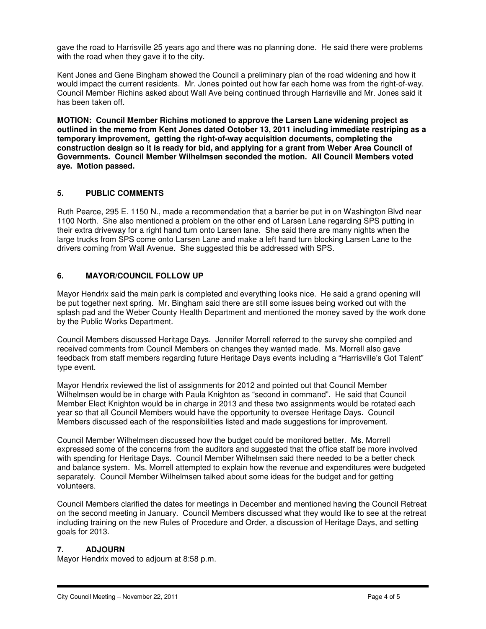gave the road to Harrisville 25 years ago and there was no planning done. He said there were problems with the road when they gave it to the city.

Kent Jones and Gene Bingham showed the Council a preliminary plan of the road widening and how it would impact the current residents. Mr. Jones pointed out how far each home was from the right-of-way. Council Member Richins asked about Wall Ave being continued through Harrisville and Mr. Jones said it has been taken off.

**MOTION: Council Member Richins motioned to approve the Larsen Lane widening project as outlined in the memo from Kent Jones dated October 13, 2011 including immediate restriping as a temporary improvement, getting the right-of-way acquisition documents, completing the construction design so it is ready for bid, and applying for a grant from Weber Area Council of Governments. Council Member Wilhelmsen seconded the motion. All Council Members voted aye. Motion passed.** 

# **5. PUBLIC COMMENTS**

Ruth Pearce, 295 E. 1150 N., made a recommendation that a barrier be put in on Washington Blvd near 1100 North. She also mentioned a problem on the other end of Larsen Lane regarding SPS putting in their extra driveway for a right hand turn onto Larsen lane. She said there are many nights when the large trucks from SPS come onto Larsen Lane and make a left hand turn blocking Larsen Lane to the drivers coming from Wall Avenue. She suggested this be addressed with SPS.

# **6. MAYOR/COUNCIL FOLLOW UP**

Mayor Hendrix said the main park is completed and everything looks nice. He said a grand opening will be put together next spring. Mr. Bingham said there are still some issues being worked out with the splash pad and the Weber County Health Department and mentioned the money saved by the work done by the Public Works Department.

Council Members discussed Heritage Days. Jennifer Morrell referred to the survey she compiled and received comments from Council Members on changes they wanted made. Ms. Morrell also gave feedback from staff members regarding future Heritage Days events including a "Harrisville's Got Talent" type event.

Mayor Hendrix reviewed the list of assignments for 2012 and pointed out that Council Member Wilhelmsen would be in charge with Paula Knighton as "second in command". He said that Council Member Elect Knighton would be in charge in 2013 and these two assignments would be rotated each year so that all Council Members would have the opportunity to oversee Heritage Days. Council Members discussed each of the responsibilities listed and made suggestions for improvement.

Council Member Wilhelmsen discussed how the budget could be monitored better. Ms. Morrell expressed some of the concerns from the auditors and suggested that the office staff be more involved with spending for Heritage Days. Council Member Wilhelmsen said there needed to be a better check and balance system. Ms. Morrell attempted to explain how the revenue and expenditures were budgeted separately. Council Member Wilhelmsen talked about some ideas for the budget and for getting volunteers.

Council Members clarified the dates for meetings in December and mentioned having the Council Retreat on the second meeting in January. Council Members discussed what they would like to see at the retreat including training on the new Rules of Procedure and Order, a discussion of Heritage Days, and setting goals for 2013.

# **7. ADJOURN**

Mayor Hendrix moved to adjourn at 8:58 p.m.